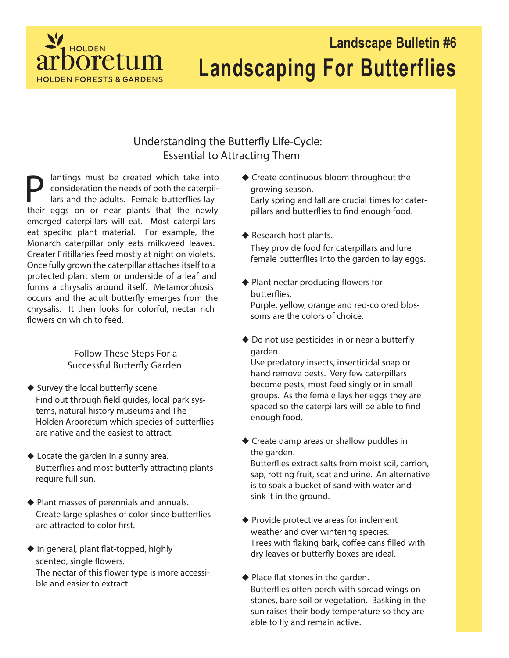

## **Landscape Bulletin #6 Landscaping For Butterflies**

## **Understanding the Butterfly Life-Cycle: Essential to Attracting Them**

**P** lantings must be created which take into consideration the needs of both the caterpillars and the adults. Female butterflies lay consideration the needs of both the caterpillars and the adults. Female butterflies lay their eggs on or near plants that the newly emerged caterpillars will eat. Most caterpillars eat specific plant material. For example, the Monarch caterpillar only eats milkweed leaves. Greater Fritillaries feed mostly at night on violets. Once fully grown the caterpillar attaches itself to a protected plant stem or underside of a leaf and forms a chrysalis around itself. Metamorphosis occurs and the adult butterfly emerges from the chrysalis. It then looks for colorful, nectar rich flowers on which to feed.

> **Follow These Steps For a Successful Butterfly Garden**

- ◆ Survey the local butterfly scene. Find out through field guides, local park systems, natural history museums and The Holden Arboretum which species of butterflies are native and the easiest to attract.
- **Locate the garden in a sunny area.** Butterflies and most butterfly attracting plants require full sun.
- **Plant masses of perennials and annuals.** Create large splashes of color since butterflies are attracted to color first.
- **In general, plant at-topped, highly scented, single owers.** The nectar of this flower type is more accessible and easier to extract.
- **Create continuous bloom throughout the growing season.** Early spring and fall are crucial times for caterpillars and butterflies to find enough food.
- **Research host plants.** They provide food for caterpillars and lure female butterflies into the garden to lay eggs.
- ◆ Plant nectar producing flowers for **butteries.** Purple, yellow, orange and red-colored blossoms are the colors of choice.
- ◆ Do not use pesticides in or near a butterfly **garden.**

Use predatory insects, insecticidal soap or hand remove pests. Very few caterpillars become pests, most feed singly or in small groups. As the female lays her eggs they are spaced so the caterpillars will be able to find enough food.

**Create damp areas or shallow puddles in the garden.**

Butterflies extract salts from moist soil, carrion, sap, rotting fruit, scat and urine. An alternative is to soak a bucket of sand with water and sink it in the ground.

- **Provide protective areas for inclement weather and over wintering species.**  Trees with flaking bark, coffee cans filled with dry leaves or butterfly boxes are ideal.
- **Place at stones in the garden.** Butterflies often perch with spread wings on stones, bare soil or vegetation. Basking in the sun raises their body temperature so they are able to fly and remain active.